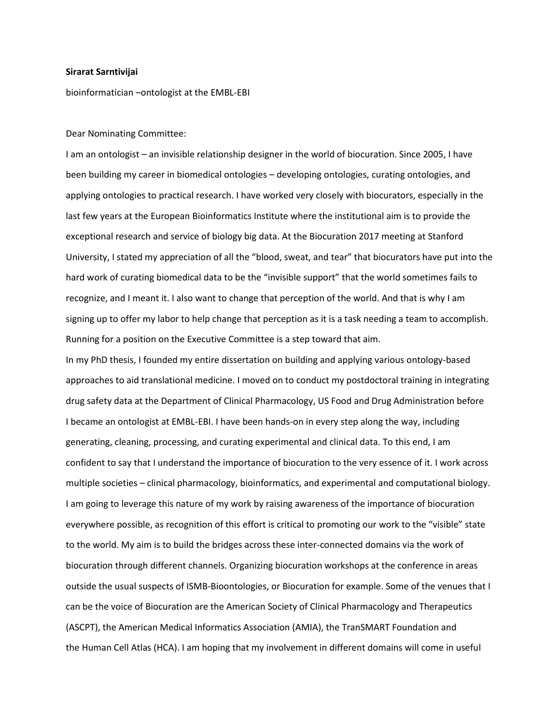## **Sirarat Sarntivijai**

bioinformatician –ontologist at the EMBL-EBI

Dear Nominating Committee:

I am an ontologist – an invisible relationship designer in the world of biocuration. Since 2005, I have been building my career in biomedical ontologies – developing ontologies, curating ontologies, and applying ontologies to practical research. I have worked very closely with biocurators, especially in the last few years at the European Bioinformatics Institute where the institutional aim is to provide the exceptional research and service of biology big data. At the Biocuration 2017 meeting at Stanford University, I stated my appreciation of all the "blood, sweat, and tear" that biocurators have put into the hard work of curating biomedical data to be the "invisible support" that the world sometimes fails to recognize, and I meant it. I also want to change that perception of the world. And that is why I am signing up to offer my labor to help change that perception as it is a task needing a team to accomplish. Running for a position on the Executive Committee is a step toward that aim.

In my PhD thesis, I founded my entire dissertation on building and applying various ontology-based approaches to aid translational medicine. I moved on to conduct my postdoctoral training in integrating drug safety data at the Department of Clinical Pharmacology, US Food and Drug Administration before I became an ontologist at EMBL-EBI. I have been hands-on in every step along the way, including generating, cleaning, processing, and curating experimental and clinical data. To this end, I am confident to say that I understand the importance of biocuration to the very essence of it. I work across multiple societies – clinical pharmacology, bioinformatics, and experimental and computational biology. I am going to leverage this nature of my work by raising awareness of the importance of biocuration everywhere possible, as recognition of this effort is critical to promoting our work to the "visible" state to the world. My aim is to build the bridges across these inter-connected domains via the work of biocuration through different channels. Organizing biocuration workshops at the conference in areas outside the usual suspects of ISMB-Bioontologies, or Biocuration for example. Some of the venues that I can be the voice of Biocuration are the American Society of Clinical Pharmacology and Therapeutics (ASCPT), the American Medical Informatics Association (AMIA), the TranSMART Foundation and the Human Cell Atlas (HCA). I am hoping that my involvement in different domains will come in useful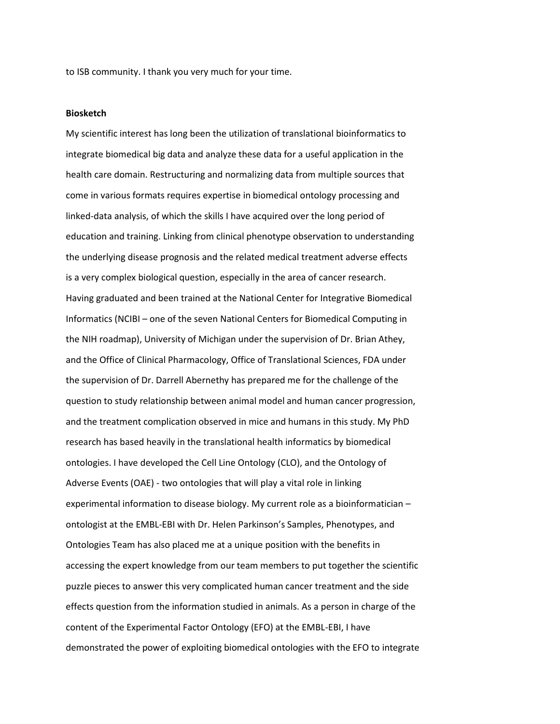to ISB community. I thank you very much for your time.

## **Biosketch**

My scientific interest has long been the utilization of translational bioinformatics to integrate biomedical big data and analyze these data for a useful application in the health care domain. Restructuring and normalizing data from multiple sources that come in various formats requires expertise in biomedical ontology processing and linked-data analysis, of which the skills I have acquired over the long period of education and training. Linking from clinical phenotype observation to understanding the underlying disease prognosis and the related medical treatment adverse effects is a very complex biological question, especially in the area of cancer research. Having graduated and been trained at the National Center for Integrative Biomedical Informatics (NCIBI – one of the seven National Centers for Biomedical Computing in the NIH roadmap), University of Michigan under the supervision of Dr. Brian Athey, and the Office of Clinical Pharmacology, Office of Translational Sciences, FDA under the supervision of Dr. Darrell Abernethy has prepared me for the challenge of the question to study relationship between animal model and human cancer progression, and the treatment complication observed in mice and humans in this study. My PhD research has based heavily in the translational health informatics by biomedical ontologies. I have developed the Cell Line Ontology (CLO), and the Ontology of Adverse Events (OAE) - two ontologies that will play a vital role in linking experimental information to disease biology. My current role as a bioinformatician – ontologist at the EMBL-EBI with Dr. Helen Parkinson's Samples, Phenotypes, and Ontologies Team has also placed me at a unique position with the benefits in accessing the expert knowledge from our team members to put together the scientific puzzle pieces to answer this very complicated human cancer treatment and the side effects question from the information studied in animals. As a person in charge of the content of the Experimental Factor Ontology (EFO) at the EMBL-EBI, I have demonstrated the power of exploiting biomedical ontologies with the EFO to integrate